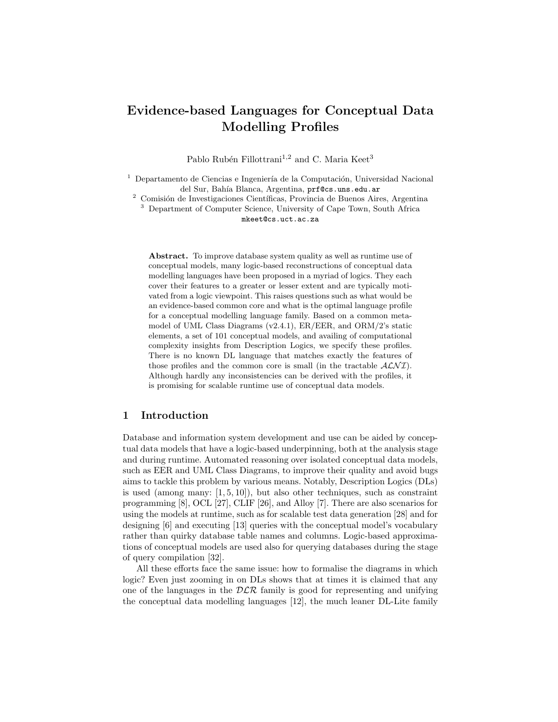# Evidence-based Languages for Conceptual Data Modelling Profiles

Pablo Rubén Fillottrani<sup>1,2</sup> and C. Maria Keet<sup>3</sup>

 $^{\rm 1}$  Departamento de Ciencias e Ingeniería de la Computación, Universidad Nacional del Sur, Bahía Blanca, Argentina, prf@cs.uns.edu.ar

 $2$  Comisión de Investigaciones Científicas, Provincia de Buenos Aires, Argentina <sup>3</sup> Department of Computer Science, University of Cape Town, South Africa

mkeet@cs.uct.ac.za

Abstract. To improve database system quality as well as runtime use of conceptual models, many logic-based reconstructions of conceptual data modelling languages have been proposed in a myriad of logics. They each cover their features to a greater or lesser extent and are typically motivated from a logic viewpoint. This raises questions such as what would be an evidence-based common core and what is the optimal language profile for a conceptual modelling language family. Based on a common metamodel of UML Class Diagrams (v2.4.1), ER/EER, and ORM/2's static elements, a set of 101 conceptual models, and availing of computational complexity insights from Description Logics, we specify these profiles. There is no known DL language that matches exactly the features of those profiles and the common core is small (in the tractable  $\mathcal{ALNI}$ ). Although hardly any inconsistencies can be derived with the profiles, it is promising for scalable runtime use of conceptual data models.

# 1 Introduction

Database and information system development and use can be aided by conceptual data models that have a logic-based underpinning, both at the analysis stage and during runtime. Automated reasoning over isolated conceptual data models, such as EER and UML Class Diagrams, to improve their quality and avoid bugs aims to tackle this problem by various means. Notably, Description Logics (DLs) is used (among many:  $[1, 5, 10]$ ), but also other techniques, such as constraint programming [8], OCL [27], CLIF [26], and Alloy [7]. There are also scenarios for using the models at runtime, such as for scalable test data generation [28] and for designing [6] and executing [13] queries with the conceptual model's vocabulary rather than quirky database table names and columns. Logic-based approximations of conceptual models are used also for querying databases during the stage of query compilation [32].

All these efforts face the same issue: how to formalise the diagrams in which logic? Even just zooming in on DLs shows that at times it is claimed that any one of the languages in the  $D\mathcal{LR}$  family is good for representing and unifying the conceptual data modelling languages [12], the much leaner DL-Lite family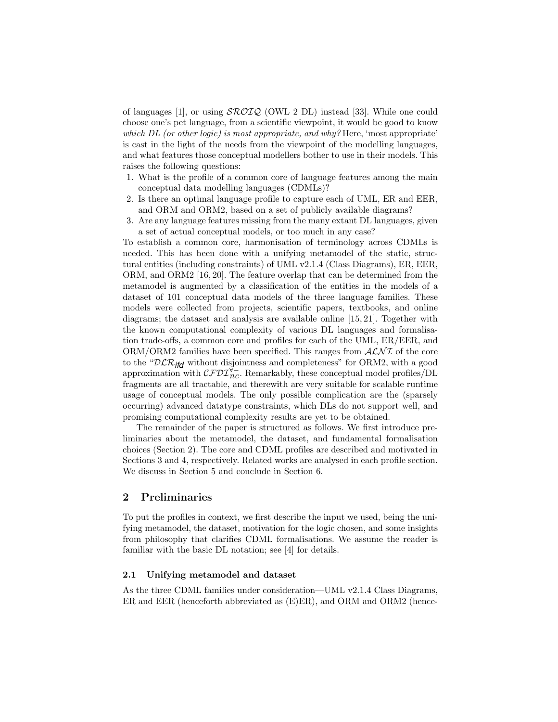of languages [1], or using  $\mathcal{SROIQ}$  (OWL 2 DL) instead [33]. While one could choose one's pet language, from a scientific viewpoint, it would be good to know which DL (or other logic) is most appropriate, and why? Here, 'most appropriate' is cast in the light of the needs from the viewpoint of the modelling languages, and what features those conceptual modellers bother to use in their models. This raises the following questions:

- 1. What is the profile of a common core of language features among the main conceptual data modelling languages (CDMLs)?
- 2. Is there an optimal language profile to capture each of UML, ER and EER, and ORM and ORM2, based on a set of publicly available diagrams?
- 3. Are any language features missing from the many extant DL languages, given a set of actual conceptual models, or too much in any case?

To establish a common core, harmonisation of terminology across CDMLs is needed. This has been done with a unifying metamodel of the static, structural entities (including constraints) of UML v2.1.4 (Class Diagrams), ER, EER, ORM, and ORM2 [16, 20]. The feature overlap that can be determined from the metamodel is augmented by a classification of the entities in the models of a dataset of 101 conceptual data models of the three language families. These models were collected from projects, scientific papers, textbooks, and online diagrams; the dataset and analysis are available online [15, 21]. Together with the known computational complexity of various DL languages and formalisation trade-offs, a common core and profiles for each of the UML, ER/EER, and  $\text{ORM}/\text{ORM2}$  families have been specified. This ranges from  $\mathcal{A}\mathcal{L}\mathcal{N}\mathcal{I}$  of the core to the "DLR*ifd* without disjointness and completeness" for ORM2, with a good approximation with  $\mathcal{CFDI}_{nc}^{\forall-}$ . Remarkably, these conceptual model profiles/DL fragments are all tractable, and therewith are very suitable for scalable runtime usage of conceptual models. The only possible complication are the (sparsely occurring) advanced datatype constraints, which DLs do not support well, and promising computational complexity results are yet to be obtained.

The remainder of the paper is structured as follows. We first introduce preliminaries about the metamodel, the dataset, and fundamental formalisation choices (Section 2). The core and CDML profiles are described and motivated in Sections 3 and 4, respectively. Related works are analysed in each profile section. We discuss in Section 5 and conclude in Section 6.

## 2 Preliminaries

To put the profiles in context, we first describe the input we used, being the unifying metamodel, the dataset, motivation for the logic chosen, and some insights from philosophy that clarifies CDML formalisations. We assume the reader is familiar with the basic DL notation; see [4] for details.

#### 2.1 Unifying metamodel and dataset

As the three CDML families under consideration—UML v2.1.4 Class Diagrams, ER and EER (henceforth abbreviated as (E)ER), and ORM and ORM2 (hence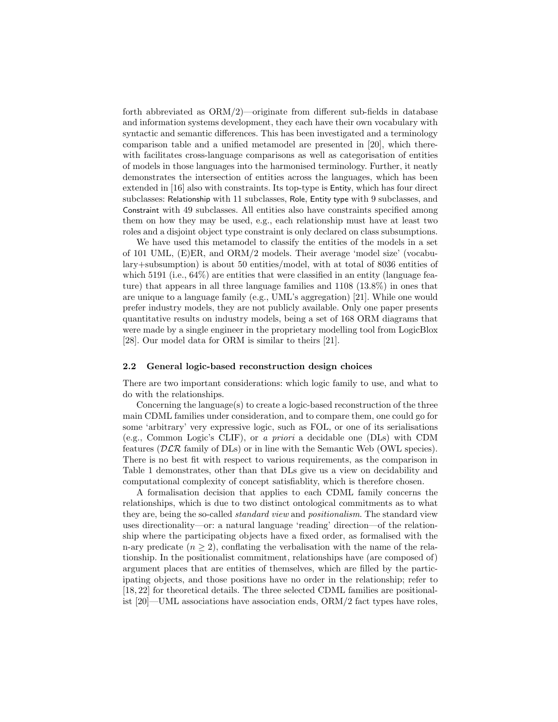forth abbreviated as ORM/2)—originate from different sub-fields in database and information systems development, they each have their own vocabulary with syntactic and semantic differences. This has been investigated and a terminology comparison table and a unified metamodel are presented in [20], which therewith facilitates cross-language comparisons as well as categorisation of entities of models in those languages into the harmonised terminology. Further, it neatly demonstrates the intersection of entities across the languages, which has been extended in [16] also with constraints. Its top-type is Entity, which has four direct subclasses: Relationship with 11 subclasses, Role, Entity type with 9 subclasses, and Constraint with 49 subclasses. All entities also have constraints specified among them on how they may be used, e.g., each relationship must have at least two roles and a disjoint object type constraint is only declared on class subsumptions.

We have used this metamodel to classify the entities of the models in a set of 101 UML, (E)ER, and ORM/2 models. Their average 'model size' (vocabulary+subsumption) is about 50 entities/model, with at total of 8036 entities of which 5191 (i.e.,  $64\%$ ) are entities that were classified in an entity (language feature) that appears in all three language families and 1108 (13.8%) in ones that are unique to a language family (e.g., UML's aggregation) [21]. While one would prefer industry models, they are not publicly available. Only one paper presents quantitative results on industry models, being a set of 168 ORM diagrams that were made by a single engineer in the proprietary modelling tool from LogicBlox [28]. Our model data for ORM is similar to theirs [21].

#### 2.2 General logic-based reconstruction design choices

There are two important considerations: which logic family to use, and what to do with the relationships.

Concerning the language(s) to create a logic-based reconstruction of the three main CDML families under consideration, and to compare them, one could go for some 'arbitrary' very expressive logic, such as FOL, or one of its serialisations (e.g., Common Logic's CLIF), or a priori a decidable one (DLs) with CDM features ( $\mathcal{DLR}$  family of DLs) or in line with the Semantic Web (OWL species). There is no best fit with respect to various requirements, as the comparison in Table 1 demonstrates, other than that DLs give us a view on decidability and computational complexity of concept satisfiablity, which is therefore chosen.

A formalisation decision that applies to each CDML family concerns the relationships, which is due to two distinct ontological commitments as to what they are, being the so-called *standard view* and *positionalism*. The standard view uses directionality—or: a natural language 'reading' direction—of the relationship where the participating objects have a fixed order, as formalised with the n-ary predicate  $(n \geq 2)$ , conflating the verbalisation with the name of the relationship. In the positionalist commitment, relationships have (are composed of) argument places that are entities of themselves, which are filled by the participating objects, and those positions have no order in the relationship; refer to [18, 22] for theoretical details. The three selected CDML families are positionalist [20]—UML associations have association ends, ORM/2 fact types have roles,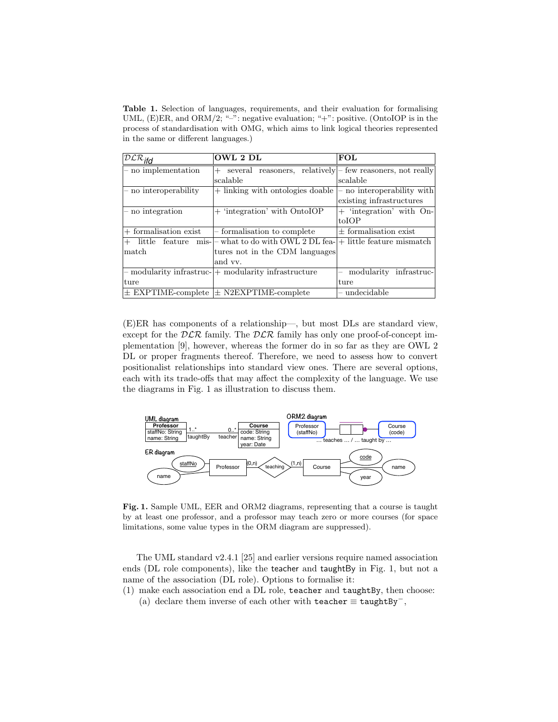Table 1. Selection of languages, requirements, and their evaluation for formalising UML,  $(E)ER$ , and  $ORM/2$ ; "-": negative evaluation; "+": positive. (OntoIOP is in the process of standardisation with OMG, which aims to link logical theories represented in the same or different languages.)

| $\overline{\mathcal{DL}}\mathcal{RR}_{\mathit{ifd}}$ | <b>OWL 2 DL</b>                                                     | FOL                                                |
|------------------------------------------------------|---------------------------------------------------------------------|----------------------------------------------------|
| - no implementation                                  | $^{+}$<br>several                                                   | reasoners, relatively  - few reasoners, not really |
|                                                      | scalable                                                            | scalable                                           |
| - no interoperability                                | $+$ linking with ontologies doable                                  | no interoperability with                           |
|                                                      |                                                                     | existing infrastructures                           |
| - no integration                                     | + 'integration' with OntoIOP                                        | + 'integration' with On-                           |
|                                                      |                                                                     | toIOP                                              |
| $+$ formalisation exist                              | - formalisation to complete                                         | $\pm$ formalisation exist                          |
| little<br>feature                                    | $mis$ - what to do with OWL 2 DL fea- $ + $ little feature mismatch |                                                    |
| match                                                | tures not in the CDM languages                                      |                                                    |
|                                                      | and vv.                                                             |                                                    |
|                                                      | - modularity infrastruc- $ +$ modularity infrastructure             | modularity infrastruc-                             |
| ture                                                 |                                                                     | ture                                               |
|                                                      | $\pm$ EXPTIME-complete $\pm$ N2EXPTIME-complete                     | undecidable                                        |

(E)ER has components of a relationship—, but most DLs are standard view, except for the  $DLR$  family. The  $DLR$  family has only one proof-of-concept implementation [9], however, whereas the former do in so far as they are OWL 2 DL or proper fragments thereof. Therefore, we need to assess how to convert positionalist relationships into standard view ones. There are several options, each with its trade-offs that may affect the complexity of the language. We use the diagrams in Fig. 1 as illustration to discuss them.



Fig. 1. Sample UML, EER and ORM2 diagrams, representing that a course is taught by at least one professor, and a professor may teach zero or more courses (for space limitations, some value types in the ORM diagram are suppressed).

The UML standard v2.4.1 [25] and earlier versions require named association ends (DL role components), like the teacher and taughtBy in Fig. 1, but not a name of the association (DL role). Options to formalise it:

(1) make each association end a DL role, teacher and taughtBy, then choose:

(a) declare them inverse of each other with teacher  $\equiv$  taughtBy<sup>-</sup>,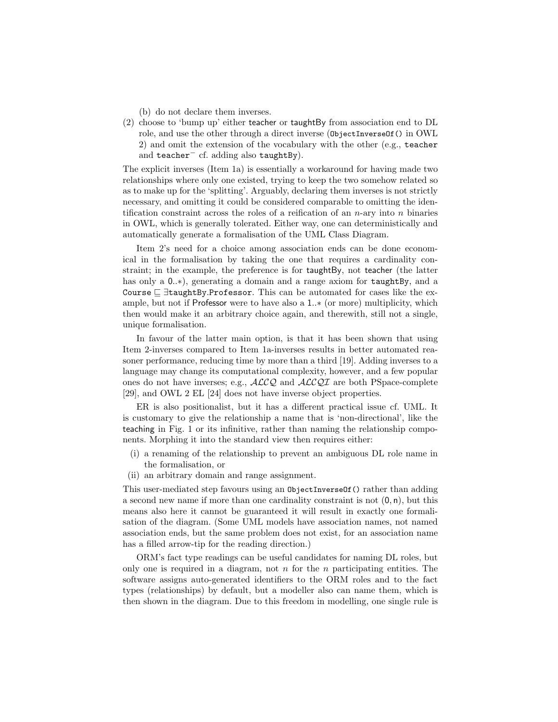- (b) do not declare them inverses.
- (2) choose to 'bump up' either teacher or taughtBy from association end to DL role, and use the other through a direct inverse (0bjectInverseOf() in OWL 2) and omit the extension of the vocabulary with the other (e.g., teacher and teacher<sup>−</sup> cf. adding also taughtBy).

The explicit inverses (Item 1a) is essentially a workaround for having made two relationships where only one existed, trying to keep the two somehow related so as to make up for the 'splitting'. Arguably, declaring them inverses is not strictly necessary, and omitting it could be considered comparable to omitting the identification constraint across the roles of a reification of an  $n$ -ary into  $n$  binaries in OWL, which is generally tolerated. Either way, one can deterministically and automatically generate a formalisation of the UML Class Diagram.

Item 2's need for a choice among association ends can be done economical in the formalisation by taking the one that requires a cardinality constraint; in the example, the preference is for taughtBy, not teacher (the latter has only a 0..∗), generating a domain and a range axiom for taughtBy, and a Course ⊆ ∃taughtBy.Professor. This can be automated for cases like the example, but not if Professor were to have also a 1..∗ (or more) multiplicity, which then would make it an arbitrary choice again, and therewith, still not a single, unique formalisation.

In favour of the latter main option, is that it has been shown that using Item 2-inverses compared to Item 1a-inverses results in better automated reasoner performance, reducing time by more than a third [19]. Adding inverses to a language may change its computational complexity, however, and a few popular ones do not have inverses; e.g.,  $\text{ALCO}$  and  $\text{ALCOI}$  are both PSpace-complete [29], and OWL 2 EL [24] does not have inverse object properties.

ER is also positionalist, but it has a different practical issue cf. UML. It is customary to give the relationship a name that is 'non-directional', like the teaching in Fig. 1 or its infinitive, rather than naming the relationship components. Morphing it into the standard view then requires either:

- (i) a renaming of the relationship to prevent an ambiguous DL role name in the formalisation, or
- (ii) an arbitrary domain and range assignment.

This user-mediated step favours using an ObjectInverseOf() rather than adding a second new name if more than one cardinality constraint is not  $(0, n)$ , but this means also here it cannot be guaranteed it will result in exactly one formalisation of the diagram. (Some UML models have association names, not named association ends, but the same problem does not exist, for an association name has a filled arrow-tip for the reading direction.)

ORM's fact type readings can be useful candidates for naming DL roles, but only one is required in a diagram, not  $n$  for the  $n$  participating entities. The software assigns auto-generated identifiers to the ORM roles and to the fact types (relationships) by default, but a modeller also can name them, which is then shown in the diagram. Due to this freedom in modelling, one single rule is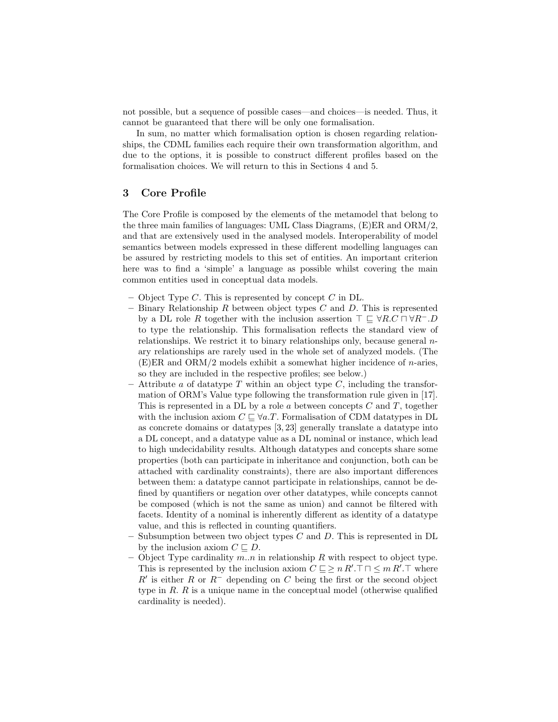not possible, but a sequence of possible cases—and choices—is needed. Thus, it cannot be guaranteed that there will be only one formalisation.

In sum, no matter which formalisation option is chosen regarding relationships, the CDML families each require their own transformation algorithm, and due to the options, it is possible to construct different profiles based on the formalisation choices. We will return to this in Sections 4 and 5.

# 3 Core Profile

The Core Profile is composed by the elements of the metamodel that belong to the three main families of languages: UML Class Diagrams, (E)ER and ORM/2, and that are extensively used in the analysed models. Interoperability of model semantics between models expressed in these different modelling languages can be assured by restricting models to this set of entities. An important criterion here was to find a 'simple' a language as possible whilst covering the main common entities used in conceptual data models.

- Object Type C. This is represented by concept C in DL.
- Binary Relationship R between object types C and D. This is represented by a DL role R together with the inclusion assertion  $\top \sqsubseteq \forall R.C \sqcap \forall R^{-}.D$ to type the relationship. This formalisation reflects the standard view of relationships. We restrict it to binary relationships only, because general nary relationships are rarely used in the whole set of analyzed models. (The  $(E)ER$  and  $\text{ORM}/2$  models exhibit a somewhat higher incidence of *n*-aries, so they are included in the respective profiles; see below.)
- Attribute a of data type T within an object type  $C$ , including the transformation of ORM's Value type following the transformation rule given in [17]. This is represented in a DL by a role  $a$  between concepts  $C$  and  $T$ , together with the inclusion axiom  $C \subseteq \forall a.T.$  Formalisation of CDM datatypes in DL as concrete domains or datatypes [3, 23] generally translate a datatype into a DL concept, and a datatype value as a DL nominal or instance, which lead to high undecidability results. Although datatypes and concepts share some properties (both can participate in inheritance and conjunction, both can be attached with cardinality constraints), there are also important differences between them: a datatype cannot participate in relationships, cannot be defined by quantifiers or negation over other datatypes, while concepts cannot be composed (which is not the same as union) and cannot be filtered with facets. Identity of a nominal is inherently different as identity of a datatype value, and this is reflected in counting quantifiers.
- Subsumption between two object types  $C$  and  $D$ . This is represented in  $DL$ by the inclusion axiom  $C \sqsubseteq D$ .
- Object Type cardinality  $m.n$  in relationship R with respect to object type. This is represented by the inclusion axiom  $C \sqsubseteq \geq n R'. \top \sqcap \leq m R'. \top$  where  $R'$  is either R or  $R^-$  depending on C being the first or the second object type in  $R$ .  $R$  is a unique name in the conceptual model (otherwise qualified cardinality is needed).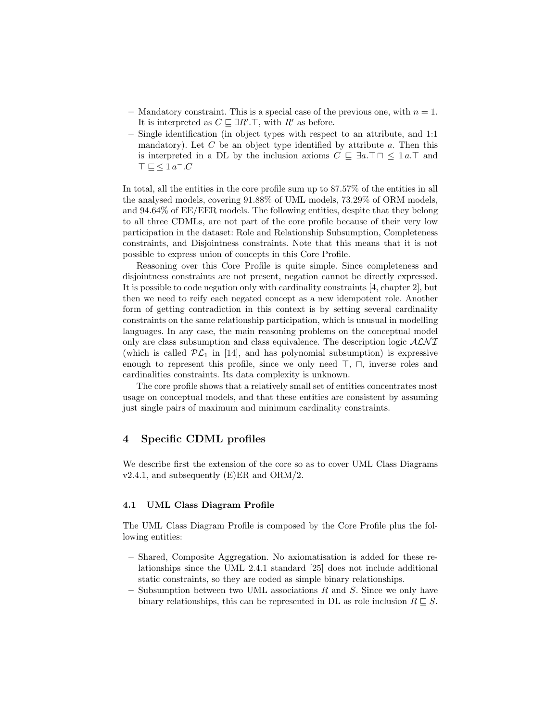- Mandatory constraint. This is a special case of the previous one, with  $n = 1$ . It is interpreted as  $C \sqsubseteq \exists R'.\top$ , with  $R'$  as before.
- Single identification (in object types with respect to an attribute, and 1:1 mandatory). Let  $C$  be an object type identified by attribute  $a$ . Then this is interpreted in a DL by the inclusion axioms  $C \subseteq \exists a.\top \cap \leq 1 \, a.\top$  and  $\top \sqsubseteq \leq 1 \, a^- \ldotp C$

In total, all the entities in the core profile sum up to 87.57% of the entities in all the analysed models, covering 91.88% of UML models, 73.29% of ORM models, and 94.64% of EE/EER models. The following entities, despite that they belong to all three CDMLs, are not part of the core profile because of their very low participation in the dataset: Role and Relationship Subsumption, Completeness constraints, and Disjointness constraints. Note that this means that it is not possible to express union of concepts in this Core Profile.

Reasoning over this Core Profile is quite simple. Since completeness and disjointness constraints are not present, negation cannot be directly expressed. It is possible to code negation only with cardinality constraints [4, chapter 2], but then we need to reify each negated concept as a new idempotent role. Another form of getting contradiction in this context is by setting several cardinality constraints on the same relationship participation, which is unusual in modelling languages. In any case, the main reasoning problems on the conceptual model only are class subsumption and class equivalence. The description logic  $\mathcal{ALNI}$ (which is called  $\mathcal{PL}_1$  in [14], and has polynomial subsumption) is expressive enough to represent this profile, since we only need  $\top$ ,  $\sqcap$ , inverse roles and cardinalities constraints. Its data complexity is unknown.

The core profile shows that a relatively small set of entities concentrates most usage on conceptual models, and that these entities are consistent by assuming just single pairs of maximum and minimum cardinality constraints.

# 4 Specific CDML profiles

We describe first the extension of the core so as to cover UML Class Diagrams v2.4.1, and subsequently (E)ER and ORM/2.

### 4.1 UML Class Diagram Profile

The UML Class Diagram Profile is composed by the Core Profile plus the following entities:

- Shared, Composite Aggregation. No axiomatisation is added for these relationships since the UML 2.4.1 standard [25] does not include additional static constraints, so they are coded as simple binary relationships.
- Subsumption between two UML associations  $R$  and  $S$ . Since we only have binary relationships, this can be represented in DL as role inclusion  $R \subseteq S$ .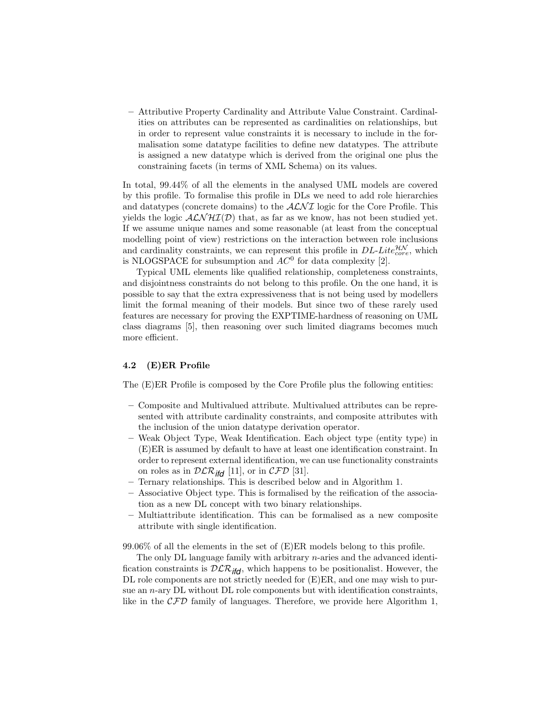– Attributive Property Cardinality and Attribute Value Constraint. Cardinalities on attributes can be represented as cardinalities on relationships, but in order to represent value constraints it is necessary to include in the formalisation some datatype facilities to define new datatypes. The attribute is assigned a new datatype which is derived from the original one plus the constraining facets (in terms of XML Schema) on its values.

In total, 99.44% of all the elements in the analysed UML models are covered by this profile. To formalise this profile in DLs we need to add role hierarchies and datatypes (concrete domains) to the  $\mathcal{ALNI}$  logic for the Core Profile. This yields the logic  $\mathcal{ALNHL}(D)$  that, as far as we know, has not been studied yet. If we assume unique names and some reasonable (at least from the conceptual modelling point of view) restrictions on the interaction between role inclusions and cardinality constraints, we can represent this profile in  $DL\text{-}Lie_{core}^{H,V}$ , which is NLOGSPACE for subsumption and  $AC^0$  for data complexity [2].

Typical UML elements like qualified relationship, completeness constraints, and disjointness constraints do not belong to this profile. On the one hand, it is possible to say that the extra expressiveness that is not being used by modellers limit the formal meaning of their models. But since two of these rarely used features are necessary for proving the EXPTIME-hardness of reasoning on UML class diagrams [5], then reasoning over such limited diagrams becomes much more efficient.

## 4.2 (E)ER Profile

The (E)ER Profile is composed by the Core Profile plus the following entities:

- Composite and Multivalued attribute. Multivalued attributes can be represented with attribute cardinality constraints, and composite attributes with the inclusion of the union datatype derivation operator.
- Weak Object Type, Weak Identification. Each object type (entity type) in (E)ER is assumed by default to have at least one identification constraint. In order to represent external identification, we can use functionality constraints on roles as in  $\mathcal{DLR}_{ifd}$  [11], or in  $\mathcal{CFD}$  [31].
- Ternary relationships. This is described below and in Algorithm 1.
- Associative Object type. This is formalised by the reification of the association as a new DL concept with two binary relationships.
- Multiattribute identification. This can be formalised as a new composite attribute with single identification.

99.06% of all the elements in the set of (E)ER models belong to this profile.

The only DL language family with arbitrary n-aries and the advanced identification constraints is  $\mathcal{DLR}_{\mathit{ifd}}$ , which happens to be positionalist. However, the DL role components are not strictly needed for (E)ER, and one may wish to pursue an n-ary DL without DL role components but with identification constraints, like in the  $\mathcal{CFD}$  family of languages. Therefore, we provide here Algorithm 1,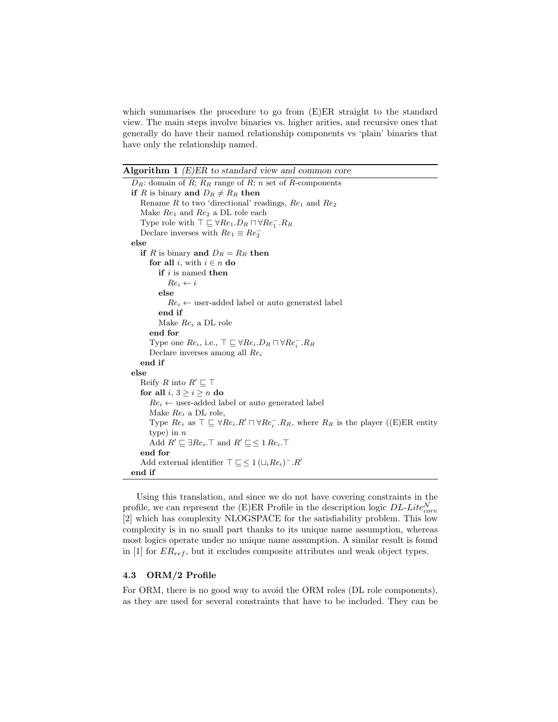which summarises the procedure to go from (E)ER straight to the standard view. The main steps involve binaries vs. higher arities, and recursive ones that generally do have their named relationship components vs 'plain' binaries that have only the relationship named.

Algorithm  $1$  (E)ER to standard view and common core

```
D_R: domain of R; R_R range of R; n set of R-components
if R is binary and D_R \neq R_R then
   Rename R to two 'directional' readings, Re_1 and Re_2Make Re_1 and Re_2 a DL role each
   Type role with \top \sqsubseteq \forall Re_1.D_R \sqcap \forall Re_1^- . R_RDeclare inverses with Re_1 \equiv Re_2^-else
   if R is binary and D_R = R_R then
      for all i, with i \in n do
         if i is named then
            Re_i \leftarrow ielse
            Re_i \leftarrow user-added label or auto generated label
         end if
         Make Re_i a DL role
      end for
      Type one Re_i, i.e., \top \sqsubseteq \forall Re_i.D_R \sqcap \forall Re_i^-.R_RDeclare inverses among all Rei
   end if
else
   Reify R into R' \sqsubseteq \topfor all i, 3 \ge i \ge n do
      Re_i \leftarrow user-added label or auto generated label
      Make Re_i a DL role,
      Type Re_i as \top \sqsubseteq \forall Re_i \cdot R' \sqcap \forall Re_i^- \cdot R_R, where R_R is the player ((E)ER entity
      type) in nAdd R' \sqsubseteq \exists Re_i. T and R' \sqsubseteq \leq 1 Re_i. T
   end for
   Add external identifier \top \sqsubseteq \leq 1 (\sqcup_i Re_i)^- . R'end if
```
Using this translation, and since we do not have covering constraints in the profile, we can represent the (E)ER Profile in the description logic  $DL\text{-}Lie^\mathcal{N}_{core}$ [2] which has complexity NLOGSPACE for the satisfiability problem. This low complexity is in no small part thanks to its unique name assumption, whereas most logics operate under no unique name assumption. A similar result is found in [1] for  $ER_{ref}$ , but it excludes composite attributes and weak object types.

#### 4.3 ORM/2 Profile

For ORM, there is no good way to avoid the ORM roles (DL role components), as they are used for several constraints that have to be included. They can be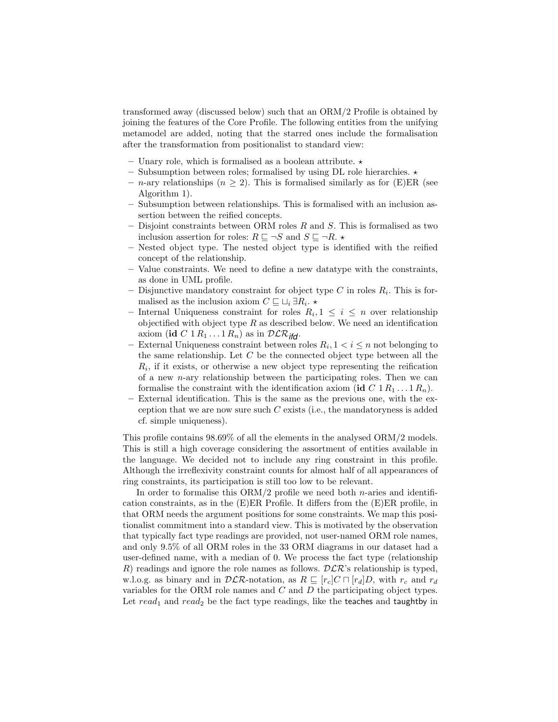transformed away (discussed below) such that an ORM/2 Profile is obtained by joining the features of the Core Profile. The following entities from the unifying metamodel are added, noting that the starred ones include the formalisation after the transformation from positionalist to standard view:

- Unary role, which is formalised as a boolean attribute.  $\star$
- Subsumption between roles; formalised by using DL role hierarchies.  $\star$
- $-$  n-ary relationships  $(n \geq 2)$ . This is formalised similarly as for  $(E)ER$  (see Algorithm 1).
- Subsumption between relationships. This is formalised with an inclusion assertion between the reified concepts.
- Disjoint constraints between ORM roles  $R$  and  $S$ . This is formalised as two inclusion assertion for roles:  $R \sqsubseteq \neg S$  and  $S \sqsubseteq \neg R$ .
- Nested object type. The nested object type is identified with the reified concept of the relationship.
- Value constraints. We need to define a new datatype with the constraints, as done in UML profile.
- Disjunctive mandatory constraint for object type  $C$  in roles  $R_i$ . This is formalised as the inclusion axiom  $C \sqsubseteq \sqcup_i \exists R_i$ .  $\star$
- $-$  Internal Uniqueness constraint for roles  $R_i, 1 \leq i \leq n$  over relationship objectified with object type  $R$  as described below. We need an identification axiom (id  $C \ 1 \ R_1 \dots 1 \ R_n$ ) as in  $DLR_{\text{ifd}}$ .
- $-$  External Uniqueness constraint between roles  $R_i, 1 \lt i \leq n$  not belonging to the same relationship. Let  $C$  be the connected object type between all the  $R_i$ , if it exists, or otherwise a new object type representing the reification of a new  $n$ -ary relationship between the participating roles. Then we can formalise the constraint with the identification axiom (id  $C \, 1 \, R_1 \ldots 1 \, R_n$ ).
- External identification. This is the same as the previous one, with the exception that we are now sure such  $C$  exists (i.e., the mandatoryness is added cf. simple uniqueness).

This profile contains 98.69% of all the elements in the analysed ORM/2 models. This is still a high coverage considering the assortment of entities available in the language. We decided not to include any ring constraint in this profile. Although the irreflexivity constraint counts for almost half of all appearances of ring constraints, its participation is still too low to be relevant.

In order to formalise this  $\text{ORM}/2$  profile we need both *n*-aries and identification constraints, as in the (E)ER Profile. It differs from the (E)ER profile, in that ORM needs the argument positions for some constraints. We map this positionalist commitment into a standard view. This is motivated by the observation that typically fact type readings are provided, not user-named ORM role names, and only 9.5% of all ORM roles in the 33 ORM diagrams in our dataset had a user-defined name, with a median of 0. We process the fact type (relationship R) readings and ignore the role names as follows.  $D\mathcal{LR}$ 's relationship is typed, w.l.o.g. as binary and in  $D\mathcal{LR}$ -notation, as  $R \sqsubseteq [r_c]C \sqcap [r_d]D$ , with  $r_c$  and  $r_d$ variables for the ORM role names and  $C$  and  $D$  the participating object types. Let  $read_1$  and  $read_2$  be the fact type readings, like the teaches and taughtby in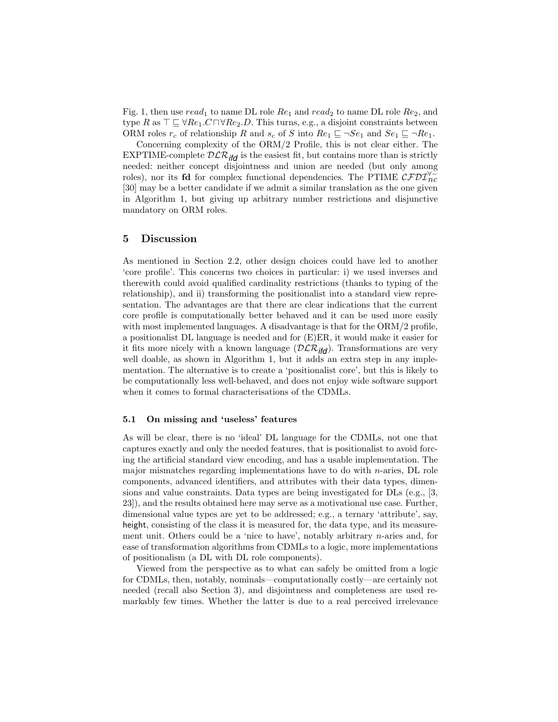Fig. 1, then use  $read_1$  to name DL role  $Re_1$  and  $read_2$  to name DL role  $Re_2$ , and type R as  $\top \sqsubseteq \forall Re_1.C \sqcap \forall Re_2.D$ . This turns, e.g., a disjoint constraints between ORM roles  $r_c$  of relationship R and  $s_c$  of S into  $Re_1 \sqsubseteq \neg Se_1$  and  $Se_1 \sqsubseteq \neg Re_1$ .

Concerning complexity of the ORM/2 Profile, this is not clear either. The EXPTIME-complete  $\mathcal{DLR}_{\mathit{ifd}}$  is the easiest fit, but contains more than is strictly needed: neither concept disjointness and union are needed (but only among roles), nor its **fd** for complex functional dependencies. The PTIME  $\mathcal{C} \mathcal{F} \mathcal{D} \mathcal{I}_{nc}^{\vee}$ [30] may be a better candidate if we admit a similar translation as the one given in Algorithm 1, but giving up arbitrary number restrictions and disjunctive mandatory on ORM roles.

## 5 Discussion

As mentioned in Section 2.2, other design choices could have led to another 'core profile'. This concerns two choices in particular: i) we used inverses and therewith could avoid qualified cardinality restrictions (thanks to typing of the relationship), and ii) transforming the positionalist into a standard view representation. The advantages are that there are clear indications that the current core profile is computationally better behaved and it can be used more easily with most implemented languages. A disadvantage is that for the ORM/2 profile, a positionalist DL language is needed and for (E)ER, it would make it easier for it fits more nicely with a known language  $(\mathcal{DLR}_{\mathsf{ifd}})$ . Transformations are very well doable, as shown in Algorithm 1, but it adds an extra step in any implementation. The alternative is to create a 'positionalist core', but this is likely to be computationally less well-behaved, and does not enjoy wide software support when it comes to formal characterisations of the CDMLs.

#### 5.1 On missing and 'useless' features

As will be clear, there is no 'ideal' DL language for the CDMLs, not one that captures exactly and only the needed features, that is positionalist to avoid forcing the artificial standard view encoding, and has a usable implementation. The major mismatches regarding implementations have to do with  $n$ -aries, DL role components, advanced identifiers, and attributes with their data types, dimensions and value constraints. Data types are being investigated for DLs (e.g., [3, 23]), and the results obtained here may serve as a motivational use case. Further, dimensional value types are yet to be addressed; e.g., a ternary 'attribute', say, height, consisting of the class it is measured for, the data type, and its measurement unit. Others could be a 'nice to have', notably arbitrary n-aries and, for ease of transformation algorithms from CDMLs to a logic, more implementations of positionalism (a DL with DL role components).

Viewed from the perspective as to what can safely be omitted from a logic for CDMLs, then, notably, nominals—computationally costly—are certainly not needed (recall also Section 3), and disjointness and completeness are used remarkably few times. Whether the latter is due to a real perceived irrelevance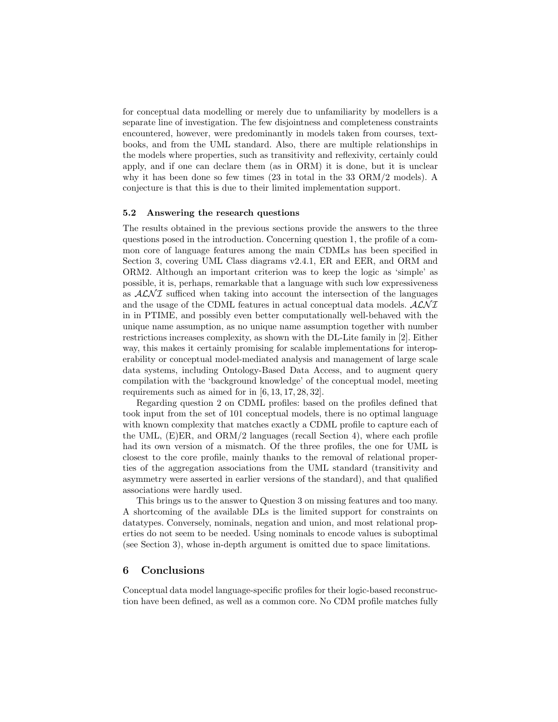for conceptual data modelling or merely due to unfamiliarity by modellers is a separate line of investigation. The few disjointness and completeness constraints encountered, however, were predominantly in models taken from courses, textbooks, and from the UML standard. Also, there are multiple relationships in the models where properties, such as transitivity and reflexivity, certainly could apply, and if one can declare them (as in ORM) it is done, but it is unclear why it has been done so few times (23 in total in the 33 ORM/2 models). A conjecture is that this is due to their limited implementation support.

#### 5.2 Answering the research questions

The results obtained in the previous sections provide the answers to the three questions posed in the introduction. Concerning question 1, the profile of a common core of language features among the main CDMLs has been specified in Section 3, covering UML Class diagrams v2.4.1, ER and EER, and ORM and ORM2. Although an important criterion was to keep the logic as 'simple' as possible, it is, perhaps, remarkable that a language with such low expressiveness as  $\mathcal{A}\mathcal{L}\mathcal{N}\mathcal{I}$  sufficed when taking into account the intersection of the languages and the usage of the CDML features in actual conceptual data models.  $\mathcal{ALNI}$ in in PTIME, and possibly even better computationally well-behaved with the unique name assumption, as no unique name assumption together with number restrictions increases complexity, as shown with the DL-Lite family in [2]. Either way, this makes it certainly promising for scalable implementations for interoperability or conceptual model-mediated analysis and management of large scale data systems, including Ontology-Based Data Access, and to augment query compilation with the 'background knowledge' of the conceptual model, meeting requirements such as aimed for in [6, 13, 17, 28, 32].

Regarding question 2 on CDML profiles: based on the profiles defined that took input from the set of 101 conceptual models, there is no optimal language with known complexity that matches exactly a CDML profile to capture each of the UML,  $(E)ER$ , and  $\text{ORM}/2$  languages (recall Section 4), where each profile had its own version of a mismatch. Of the three profiles, the one for UML is closest to the core profile, mainly thanks to the removal of relational properties of the aggregation associations from the UML standard (transitivity and asymmetry were asserted in earlier versions of the standard), and that qualified associations were hardly used.

This brings us to the answer to Question 3 on missing features and too many. A shortcoming of the available DLs is the limited support for constraints on datatypes. Conversely, nominals, negation and union, and most relational properties do not seem to be needed. Using nominals to encode values is suboptimal (see Section 3), whose in-depth argument is omitted due to space limitations.

## 6 Conclusions

Conceptual data model language-specific profiles for their logic-based reconstruction have been defined, as well as a common core. No CDM profile matches fully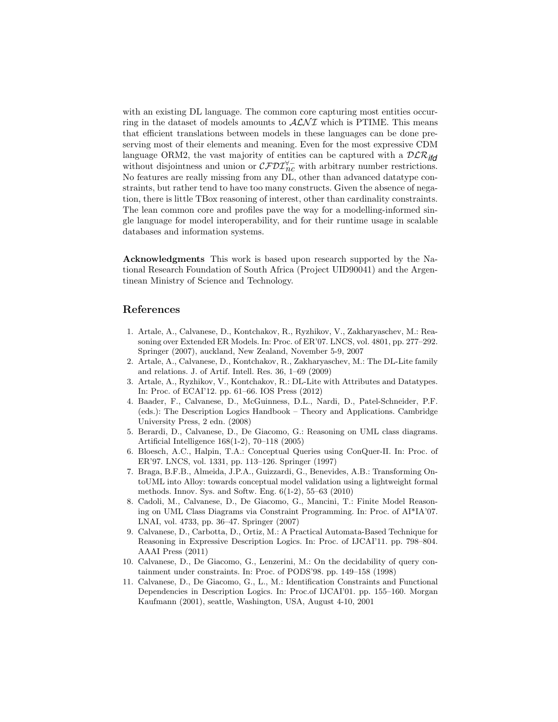with an existing DL language. The common core capturing most entities occurring in the dataset of models amounts to  $\mathcal{ALNI}$  which is PTIME. This means that efficient translations between models in these languages can be done preserving most of their elements and meaning. Even for the most expressive CDM language ORM2, the vast majority of entities can be captured with a  $D\mathcal{LR}_{\mathsf{ifd}}$ without disjointness and union or  $\mathcal{CFDI}_{nc}^{\forall-}$  with arbitrary number restrictions. No features are really missing from any DL, other than advanced datatype constraints, but rather tend to have too many constructs. Given the absence of negation, there is little TBox reasoning of interest, other than cardinality constraints. The lean common core and profiles pave the way for a modelling-informed single language for model interoperability, and for their runtime usage in scalable databases and information systems.

Acknowledgments This work is based upon research supported by the National Research Foundation of South Africa (Project UID90041) and the Argentinean Ministry of Science and Technology.

## References

- 1. Artale, A., Calvanese, D., Kontchakov, R., Ryzhikov, V., Zakharyaschev, M.: Reasoning over Extended ER Models. In: Proc. of ER'07. LNCS, vol. 4801, pp. 277–292. Springer (2007), auckland, New Zealand, November 5-9, 2007
- 2. Artale, A., Calvanese, D., Kontchakov, R., Zakharyaschev, M.: The DL-Lite family and relations. J. of Artif. Intell. Res. 36, 1–69 (2009)
- 3. Artale, A., Ryzhikov, V., Kontchakov, R.: DL-Lite with Attributes and Datatypes. In: Proc. of ECAI'12. pp. 61–66. IOS Press (2012)
- 4. Baader, F., Calvanese, D., McGuinness, D.L., Nardi, D., Patel-Schneider, P.F. (eds.): The Description Logics Handbook – Theory and Applications. Cambridge University Press, 2 edn. (2008)
- 5. Berardi, D., Calvanese, D., De Giacomo, G.: Reasoning on UML class diagrams. Artificial Intelligence 168(1-2), 70–118 (2005)
- 6. Bloesch, A.C., Halpin, T.A.: Conceptual Queries using ConQuer-II. In: Proc. of ER'97. LNCS, vol. 1331, pp. 113–126. Springer (1997)
- 7. Braga, B.F.B., Almeida, J.P.A., Guizzardi, G., Benevides, A.B.: Transforming OntoUML into Alloy: towards conceptual model validation using a lightweight formal methods. Innov. Sys. and Softw. Eng. 6(1-2), 55–63 (2010)
- 8. Cadoli, M., Calvanese, D., De Giacomo, G., Mancini, T.: Finite Model Reasoning on UML Class Diagrams via Constraint Programming. In: Proc. of AI\*IA'07. LNAI, vol. 4733, pp. 36–47. Springer (2007)
- 9. Calvanese, D., Carbotta, D., Ortiz, M.: A Practical Automata-Based Technique for Reasoning in Expressive Description Logics. In: Proc. of IJCAI'11. pp. 798–804. AAAI Press (2011)
- 10. Calvanese, D., De Giacomo, G., Lenzerini, M.: On the decidability of query containment under constraints. In: Proc. of PODS'98. pp. 149–158 (1998)
- 11. Calvanese, D., De Giacomo, G., L., M.: Identification Constraints and Functional Dependencies in Description Logics. In: Proc.of IJCAI'01. pp. 155–160. Morgan Kaufmann (2001), seattle, Washington, USA, August 4-10, 2001